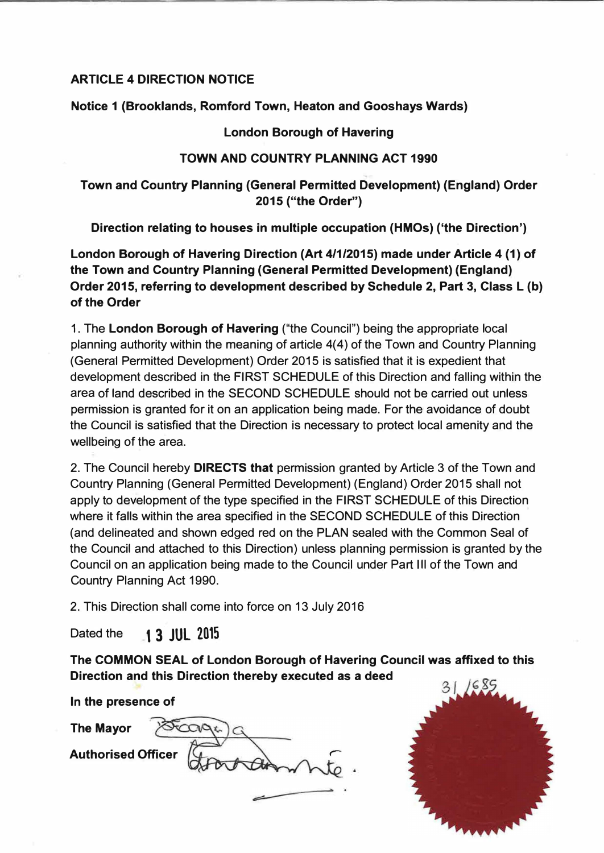## **ARTICLE 4 DIRECTION NOTICE**

**Notice 1 (Brooklands, Romford Town, Heaton and Gooshays Wards)** 

### **London Borough of Havering**

#### **TOWN AND COUNTRY PLANNING ACT 1990**

## **Town and Country Planning (General Permitted Development) (England) Order 2015 ("the Order")**

**Direction relating to houses in multiple occupation (HMOs) ('the Direction')** 

**London Borough of Havering Direction (Art 4/1/2015) made under Article 4 (1) of the Town and Country Planning (General Permitted Development) (England) Order 2015, referring to development described by Schedule 2, Part 3, Class L (b) of the Order** 

1. The **London Borough of Havering** ("the Council") being the appropriate local planning authority within the meaning of article 4(4) of the Town and Country Planning (General Permitted Development) Order 2015 is satisfied that it is expedient that development described in the FIRST SCHEDULE of this Direction and falling within the area of land described in the SECOND SCHEDULE should not be carried out unless permission is granted for it on an application being made. For the avoidance of doubt the Council is satisfied that the Direction is necessary to protect local amenity and the wellbeing of the area.

2. The Council hereby **DIRECTS that** permission granted by Article 3 of the Town and Country Planning (General Permitted Development) (England) Order 2015 shall not apply to development of the type specified in the FIRST SCHEDULE of this Direction where it falls within the area specified in the SECOND SCHEDULE of this Direction (and delineated and shown edged red on the PLAN sealed with the Common Seal of the Council and attached to this Direction) unless planning permission is granted by the Council on an application being made to the Council under Part Ill of the Town and Country Planning Act 1990.

2. This Direction shall come into force on 13 July 2016

Dated the **1 3 JUL 2015** 

**The COMMON SEAL of London Borough of Havering Council was affixed to this Direction and this Direction thereby executed as a deed** 

~.

**In the presence of** 

**The Mayor** 

**Authorised Officer** 

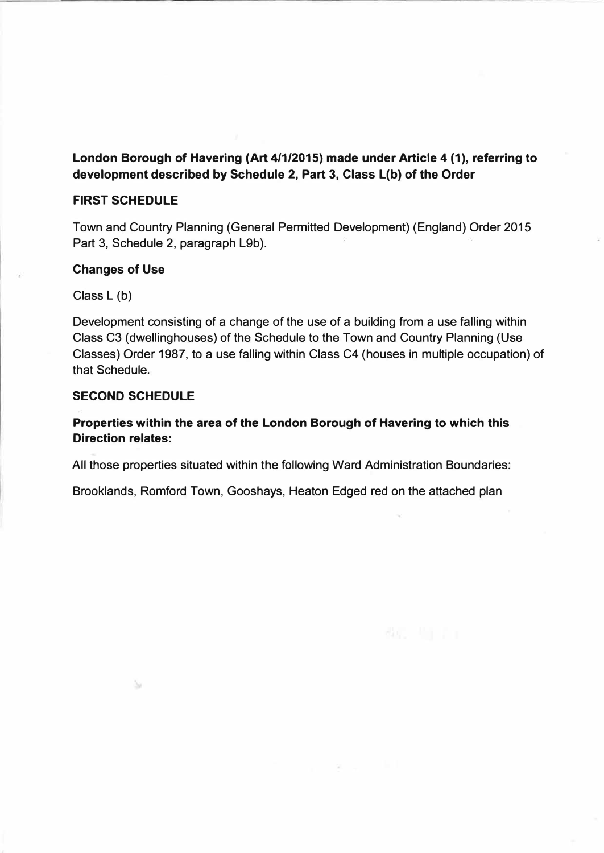# **London Borough of Havering (Art 4/1/2015) made under Article 4 (1), referring to development described by Schedule 2, Part 3, Class L(b) of the Order**

### **FIRST SCHEDULE**

Town and Country Planning (General Permitted Development) (England) Order 2015 Part 3, Schedule 2, paragraph L9b).

### **Changes of Use**

Class L (b)

Development consisting of a change of the use of a building from a use falling within Class C3 (dwellinghouses) of the Schedule to the Town and Country Planning (Use Classes) Order 1987, to a use falling within Class C4 (houses in multiple occupation) of that Schedule.

### **SECOND SCHEDULE**

Ĵа

## **Properties within the area of the London Borough of Havering to which this Direction relates:**

All those properties situated within the following Ward Administration Boundaries:

Brooklands, Romford Town, Gooshays, Heaton Edged red on the attached plan